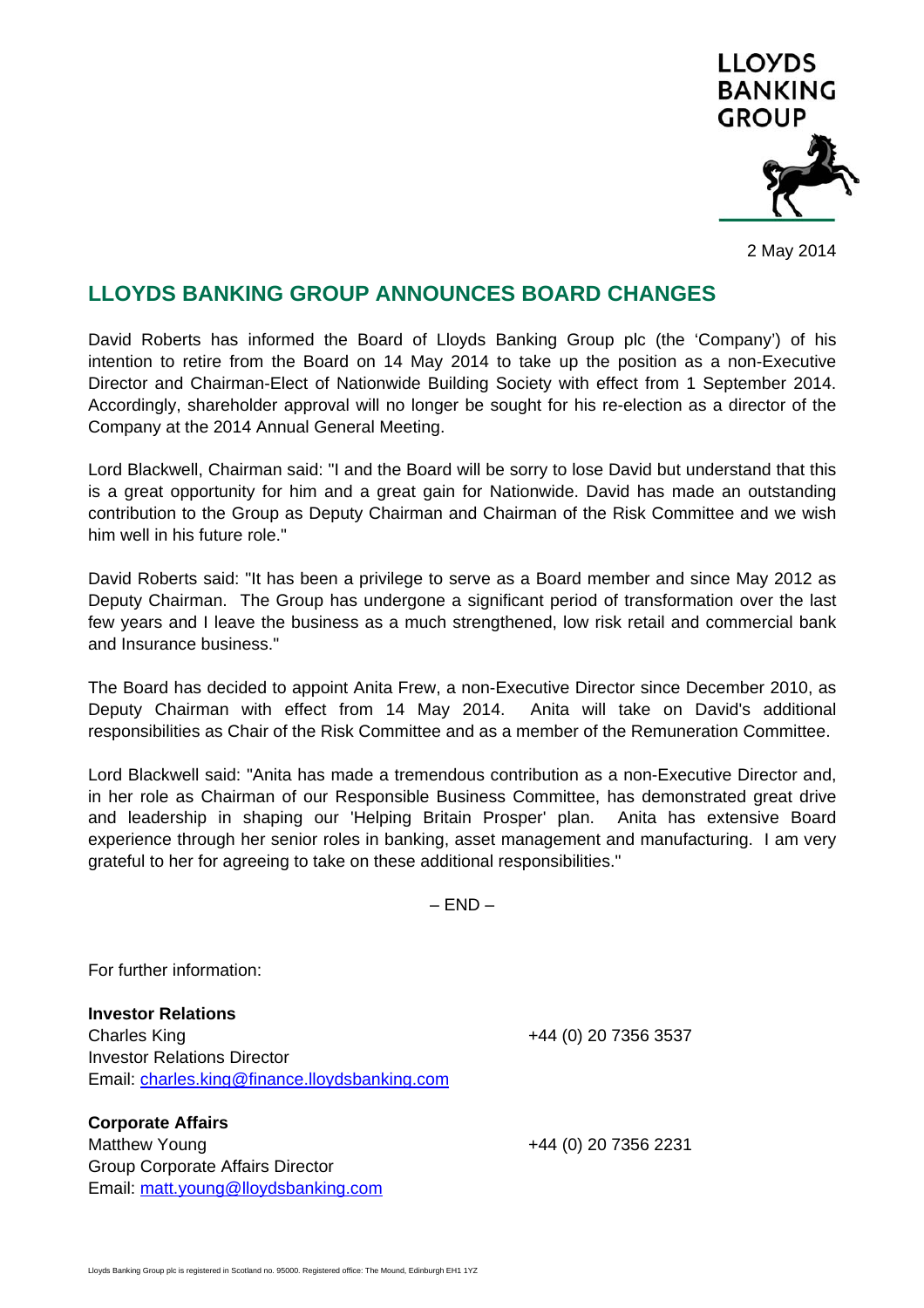

2 May 2014

## **LLOYDS BANKING GROUP ANNOUNCES BOARD CHANGES**

David Roberts has informed the Board of Lloyds Banking Group plc (the 'Company') of his intention to retire from the Board on 14 May 2014 to take up the position as a non-Executive Director and Chairman-Elect of Nationwide Building Society with effect from 1 September 2014. Accordingly, shareholder approval will no longer be sought for his re-election as a director of the Company at the 2014 Annual General Meeting.

Lord Blackwell, Chairman said: "I and the Board will be sorry to lose David but understand that this is a great opportunity for him and a great gain for Nationwide. David has made an outstanding contribution to the Group as Deputy Chairman and Chairman of the Risk Committee and we wish him well in his future role."

David Roberts said: "It has been a privilege to serve as a Board member and since May 2012 as Deputy Chairman. The Group has undergone a significant period of transformation over the last few years and I leave the business as a much strengthened, low risk retail and commercial bank and Insurance business."

The Board has decided to appoint Anita Frew, a non-Executive Director since December 2010, as Deputy Chairman with effect from 14 May 2014. Anita will take on David's additional responsibilities as Chair of the Risk Committee and as a member of the Remuneration Committee.

Lord Blackwell said: "Anita has made a tremendous contribution as a non-Executive Director and, in her role as Chairman of our Responsible Business Committee, has demonstrated great drive and leadership in shaping our 'Helping Britain Prosper' plan. Anita has extensive Board experience through her senior roles in banking, asset management and manufacturing. I am very grateful to her for agreeing to take on these additional responsibilities."

 $-$  END  $-$ 

For further information:

**Investor Relations**  Charles King +44 (0) 20 7356 3537 Investor Relations Director Email: charles.king@finance.lloydsbanking.com

**Corporate Affairs**  Matthew Young +44 (0) 20 7356 2231 Group Corporate Affairs Director Email: matt.young@lloydsbanking.com